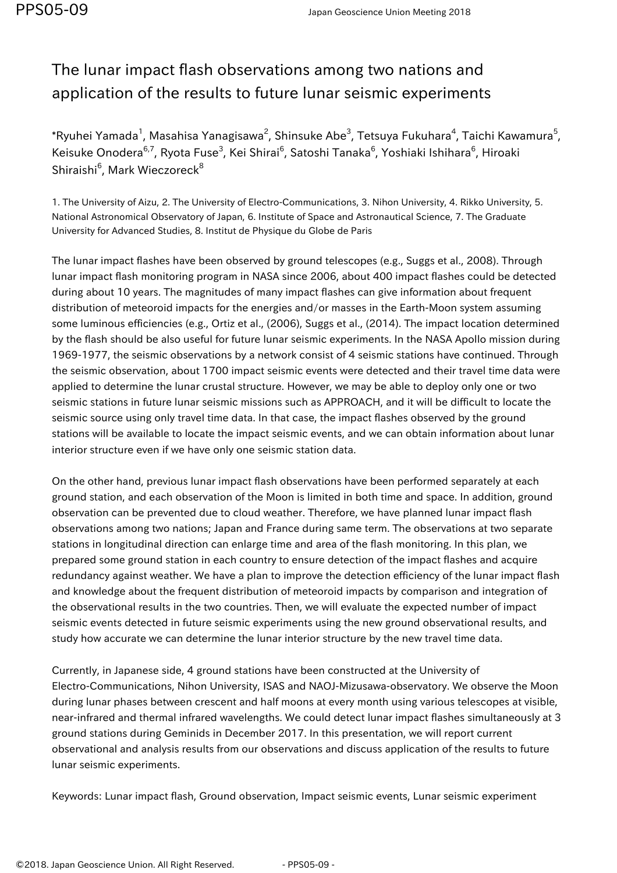## The lunar impact flash observations among two nations and application of the results to future lunar seismic experiments

\*Ryuhei Yamada<sup>1</sup>, Masahisa Yanagisawa<sup>2</sup>, Shinsuke Abe<sup>3</sup>, Tetsuya Fukuhara<sup>4</sup>, Taichi Kawamura<sup>5</sup>, Keisuke Onodera<sup>6,7</sup>, Ryota Fuse<sup>3</sup>, Kei Shirai<sup>6</sup>, Satoshi Tanaka<sup>6</sup>, Yoshiaki Ishihara<sup>6</sup>, Hiroaki Shiraishi $^6$ , Mark Wieczoreck $^8$ 

1. The University of Aizu, 2. The University of Electro-Communications, 3. Nihon University, 4. Rikko University, 5. National Astronomical Observatory of Japan, 6. Institute of Space and Astronautical Science, 7. The Graduate University for Advanced Studies, 8. Institut de Physique du Globe de Paris

The lunar impact flashes have been observed by ground telescopes (e.g., Suggs et al., 2008). Through lunar impact flash monitoring program in NASA since 2006, about 400 impact flashes could be detected during about 10 years. The magnitudes of many impact flashes can give information about frequent distribution of meteoroid impacts for the energies and/or masses in the Earth-Moon system assuming some luminous efficiencies (e.g., Ortiz et al., (2006), Suggs et al., (2014). The impact location determined by the flash should be also useful for future lunar seismic experiments. In the NASA Apollo mission during 1969-1977, the seismic observations by a network consist of 4 seismic stations have continued. Through the seismic observation, about 1700 impact seismic events were detected and their travel time data were applied to determine the lunar crustal structure. However, we may be able to deploy only one or two seismic stations in future lunar seismic missions such as APPROACH, and it will be difficult to locate the seismic source using only travel time data. In that case, the impact flashes observed by the ground stations will be available to locate the impact seismic events, and we can obtain information about lunar interior structure even if we have only one seismic station data.

On the other hand, previous lunar impact flash observations have been performed separately at each ground station, and each observation of the Moon is limited in both time and space. In addition, ground observation can be prevented due to cloud weather. Therefore, we have planned lunar impact flash observations among two nations; Japan and France during same term. The observations at two separate stations in longitudinal direction can enlarge time and area of the flash monitoring. In this plan, we prepared some ground station in each country to ensure detection of the impact flashes and acquire redundancy against weather. We have a plan to improve the detection efficiency of the lunar impact flash and knowledge about the frequent distribution of meteoroid impacts by comparison and integration of the observational results in the two countries. Then, we will evaluate the expected number of impact seismic events detected in future seismic experiments using the new ground observational results, and study how accurate we can determine the lunar interior structure by the new travel time data.

Currently, in Japanese side, 4 ground stations have been constructed at the University of Electro-Communications, Nihon University, ISAS and NAOJ-Mizusawa-observatory. We observe the Moon during lunar phases between crescent and half moons at every month using various telescopes at visible, near-infrared and thermal infrared wavelengths. We could detect lunar impact flashes simultaneously at 3 ground stations during Geminids in December 2017. In this presentation, we will report current observational and analysis results from our observations and discuss application of the results to future lunar seismic experiments.

Keywords: Lunar impact flash, Ground observation, Impact seismic events, Lunar seismic experiment